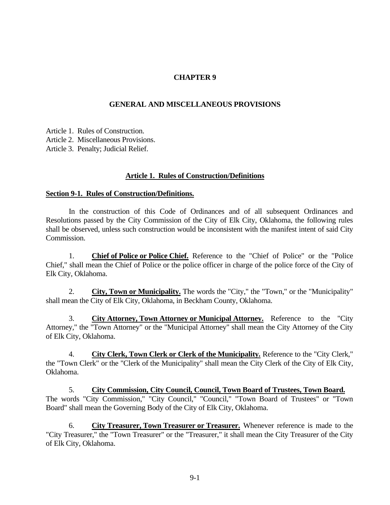# **CHAPTER 9**

## **GENERAL AND MISCELLANEOUS PROVISIONS**

Article 1. Rules of Construction.

Article 2. Miscellaneous Provisions.

Article 3. Penalty; Judicial Relief.

#### **Article 1. Rules of Construction/Definitions**

#### **Section 9-1. Rules of Construction/Definitions.**

In the construction of this Code of Ordinances and of all subsequent Ordinances and Resolutions passed by the City Commission of the City of Elk City, Oklahoma, the following rules shall be observed, unless such construction would be inconsistent with the manifest intent of said City Commission.

1. **Chief of Police or Police Chief.** Reference to the "Chief of Police" or the "Police Chief," shall mean the Chief of Police or the police officer in charge of the police force of the City of Elk City, Oklahoma.

2. **City, Town or Municipality.** The words the "City," the "Town," or the "Municipality" shall mean the City of Elk City, Oklahoma, in Beckham County, Oklahoma.

3. **City Attorney, Town Attorney or Municipal Attorney.** Reference to the "City Attorney," the "Town Attorney" or the "Municipal Attorney" shall mean the City Attorney of the City of Elk City, Oklahoma.

4. **City Clerk, Town Clerk or Clerk of the Municipality.** Reference to the "City Clerk," the "Town Clerk" or the "Clerk of the Municipality" shall mean the City Clerk of the City of Elk City, Oklahoma.

5. **City Commission, City Council, Council, Town Board of Trustees, Town Board.** The words "City Commission," "City Council," "Council," "Town Board of Trustees" or "Town Board" shall mean the Governing Body of the City of Elk City, Oklahoma.

6. **City Treasurer, Town Treasurer or Treasurer.** Whenever reference is made to the "City Treasurer," the "Town Treasurer" or the "Treasurer," it shall mean the City Treasurer of the City of Elk City, Oklahoma.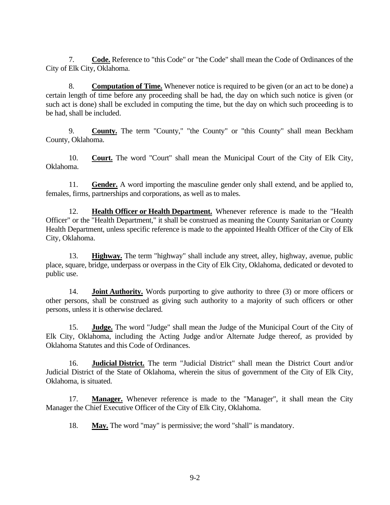7. **Code.** Reference to "this Code" or "the Code" shall mean the Code of Ordinances of the City of Elk City, Oklahoma.

8. **Computation of Time.** Whenever notice is required to be given (or an act to be done) a certain length of time before any proceeding shall be had, the day on which such notice is given (or such act is done) shall be excluded in computing the time, but the day on which such proceeding is to be had, shall be included.

9. **County.** The term "County," "the County" or "this County" shall mean Beckham County, Oklahoma.

10. **Court.** The word "Court" shall mean the Municipal Court of the City of Elk City, Oklahoma.

11. **Gender.** A word importing the masculine gender only shall extend, and be applied to, females, firms, partnerships and corporations, as well as to males.

12. **Health Officer or Health Department.** Whenever reference is made to the "Health Officer" or the "Health Department," it shall be construed as meaning the County Sanitarian or County Health Department, unless specific reference is made to the appointed Health Officer of the City of Elk City, Oklahoma.

13. **Highway.** The term "highway" shall include any street, alley, highway, avenue, public place, square, bridge, underpass or overpass in the City of Elk City, Oklahoma, dedicated or devoted to public use.

14. **Joint Authority.** Words purporting to give authority to three (3) or more officers or other persons, shall be construed as giving such authority to a majority of such officers or other persons, unless it is otherwise declared.

15. **Judge.** The word "Judge" shall mean the Judge of the Municipal Court of the City of Elk City, Oklahoma, including the Acting Judge and/or Alternate Judge thereof, as provided by Oklahoma Statutes and this Code of Ordinances.

16. **Judicial District.** The term "Judicial District" shall mean the District Court and/or Judicial District of the State of Oklahoma, wherein the situs of government of the City of Elk City, Oklahoma, is situated.

17. **Manager.** Whenever reference is made to the "Manager", it shall mean the City Manager the Chief Executive Officer of the City of Elk City, Oklahoma.

18. **May.** The word "may" is permissive; the word "shall" is mandatory.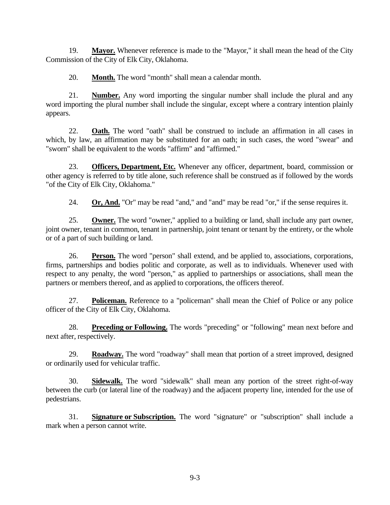19. **Mayor.** Whenever reference is made to the "Mayor," it shall mean the head of the City Commission of the City of Elk City, Oklahoma.

20. **Month.** The word "month" shall mean a calendar month.

21. **Number.** Any word importing the singular number shall include the plural and any word importing the plural number shall include the singular, except where a contrary intention plainly appears.

22. **Oath.** The word "oath" shall be construed to include an affirmation in all cases in which, by law, an affirmation may be substituted for an oath; in such cases, the word "swear" and "sworn" shall be equivalent to the words "affirm" and "affirmed."

23. **Officers, Department, Etc.** Whenever any officer, department, board, commission or other agency is referred to by title alone, such reference shall be construed as if followed by the words "of the City of Elk City, Oklahoma."

24. **Or, And.** "Or" may be read "and," and "and" may be read "or," if the sense requires it.

25. **Owner.** The word "owner," applied to a building or land, shall include any part owner, joint owner, tenant in common, tenant in partnership, joint tenant or tenant by the entirety, or the whole or of a part of such building or land.

26. **Person.** The word "person" shall extend, and be applied to, associations, corporations, firms, partnerships and bodies politic and corporate, as well as to individuals. Whenever used with respect to any penalty, the word "person," as applied to partnerships or associations, shall mean the partners or members thereof, and as applied to corporations, the officers thereof.

27. **Policeman.** Reference to a "policeman" shall mean the Chief of Police or any police officer of the City of Elk City, Oklahoma.

28. **Preceding or Following.** The words "preceding" or "following" mean next before and next after, respectively.

29. **Roadway.** The word "roadway" shall mean that portion of a street improved, designed or ordinarily used for vehicular traffic.

30. **Sidewalk.** The word "sidewalk" shall mean any portion of the street right-of-way between the curb (or lateral line of the roadway) and the adjacent property line, intended for the use of pedestrians.

31. **Signature or Subscription.** The word "signature" or "subscription" shall include a mark when a person cannot write.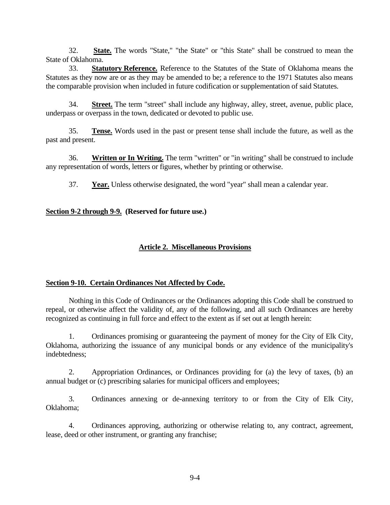32. **State.** The words "State," "the State" or "this State" shall be construed to mean the State of Oklahoma.

33. **Statutory Reference.** Reference to the Statutes of the State of Oklahoma means the Statutes as they now are or as they may be amended to be; a reference to the 1971 Statutes also means the comparable provision when included in future codification or supplementation of said Statutes.

34. **Street.** The term "street" shall include any highway, alley, street, avenue, public place, underpass or overpass in the town, dedicated or devoted to public use.

35. **Tense.** Words used in the past or present tense shall include the future, as well as the past and present.

36. **Written or In Writing.** The term "written" or "in writing" shall be construed to include any representation of words, letters or figures, whether by printing or otherwise.

37. **Year.** Unless otherwise designated, the word "year" shall mean a calendar year.

### **Section 9-2 through 9-9. (Reserved for future use.)**

# **Article 2. Miscellaneous Provisions**

#### **Section 9-10. Certain Ordinances Not Affected by Code.**

Nothing in this Code of Ordinances or the Ordinances adopting this Code shall be construed to repeal, or otherwise affect the validity of, any of the following, and all such Ordinances are hereby recognized as continuing in full force and effect to the extent as if set out at length herein:

1. Ordinances promising or guaranteeing the payment of money for the City of Elk City, Oklahoma, authorizing the issuance of any municipal bonds or any evidence of the municipality's indebtedness;

2. Appropriation Ordinances, or Ordinances providing for (a) the levy of taxes, (b) an annual budget or (c) prescribing salaries for municipal officers and employees;

3. Ordinances annexing or de-annexing territory to or from the City of Elk City, Oklahoma;

4. Ordinances approving, authorizing or otherwise relating to, any contract, agreement, lease, deed or other instrument, or granting any franchise;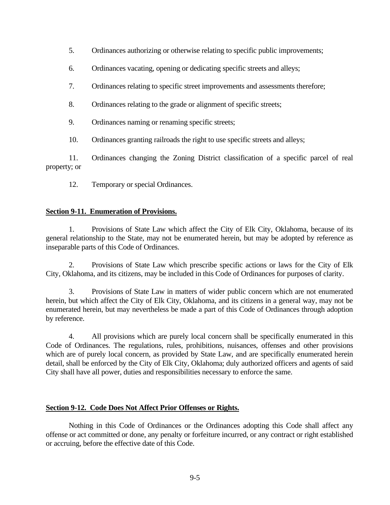- 5. Ordinances authorizing or otherwise relating to specific public improvements;
- 6. Ordinances vacating, opening or dedicating specific streets and alleys;
- 7. Ordinances relating to specific street improvements and assessments therefore;
- 8. Ordinances relating to the grade or alignment of specific streets;
- 9. Ordinances naming or renaming specific streets;
- 10. Ordinances granting railroads the right to use specific streets and alleys;

11. Ordinances changing the Zoning District classification of a specific parcel of real property; or

12. Temporary or special Ordinances.

# **Section 9-11. Enumeration of Provisions.**

1. Provisions of State Law which affect the City of Elk City, Oklahoma, because of its general relationship to the State, may not be enumerated herein, but may be adopted by reference as inseparable parts of this Code of Ordinances.

2. Provisions of State Law which prescribe specific actions or laws for the City of Elk City, Oklahoma, and its citizens, may be included in this Code of Ordinances for purposes of clarity.

3. Provisions of State Law in matters of wider public concern which are not enumerated herein, but which affect the City of Elk City, Oklahoma, and its citizens in a general way, may not be enumerated herein, but may nevertheless be made a part of this Code of Ordinances through adoption by reference.

4. All provisions which are purely local concern shall be specifically enumerated in this Code of Ordinances. The regulations, rules, prohibitions, nuisances, offenses and other provisions which are of purely local concern, as provided by State Law, and are specifically enumerated herein detail, shall be enforced by the City of Elk City, Oklahoma; duly authorized officers and agents of said City shall have all power, duties and responsibilities necessary to enforce the same.

# **Section 9-12. Code Does Not Affect Prior Offenses or Rights.**

Nothing in this Code of Ordinances or the Ordinances adopting this Code shall affect any offense or act committed or done, any penalty or forfeiture incurred, or any contract or right established or accruing, before the effective date of this Code.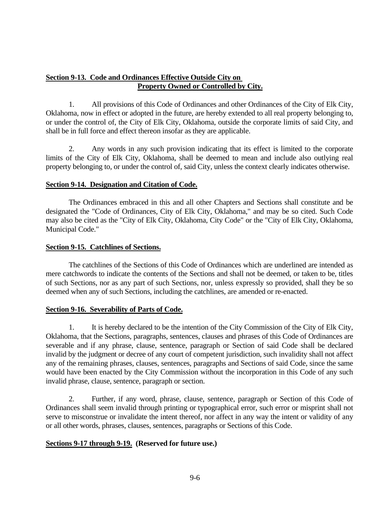# **Section 9-13. Code and Ordinances Effective Outside City on Property Owned or Controlled by City.**

1. All provisions of this Code of Ordinances and other Ordinances of the City of Elk City, Oklahoma, now in effect or adopted in the future, are hereby extended to all real property belonging to, or under the control of, the City of Elk City, Oklahoma, outside the corporate limits of said City, and shall be in full force and effect thereon insofar as they are applicable.

2. Any words in any such provision indicating that its effect is limited to the corporate limits of the City of Elk City, Oklahoma, shall be deemed to mean and include also outlying real property belonging to, or under the control of, said City, unless the context clearly indicates otherwise.

# **Section 9-14. Designation and Citation of Code.**

The Ordinances embraced in this and all other Chapters and Sections shall constitute and be designated the "Code of Ordinances, City of Elk City, Oklahoma," and may be so cited. Such Code may also be cited as the "City of Elk City, Oklahoma, City Code" or the "City of Elk City, Oklahoma, Municipal Code."

### **Section 9-15. Catchlines of Sections.**

The catchlines of the Sections of this Code of Ordinances which are underlined are intended as mere catchwords to indicate the contents of the Sections and shall not be deemed, or taken to be, titles of such Sections, nor as any part of such Sections, nor, unless expressly so provided, shall they be so deemed when any of such Sections, including the catchlines, are amended or re-enacted.

#### **Section 9-16. Severability of Parts of Code.**

1. It is hereby declared to be the intention of the City Commission of the City of Elk City, Oklahoma, that the Sections, paragraphs, sentences, clauses and phrases of this Code of Ordinances are severable and if any phrase, clause, sentence, paragraph or Section of said Code shall be declared invalid by the judgment or decree of any court of competent jurisdiction, such invalidity shall not affect any of the remaining phrases, clauses, sentences, paragraphs and Sections of said Code, since the same would have been enacted by the City Commission without the incorporation in this Code of any such invalid phrase, clause, sentence, paragraph or section.

2. Further, if any word, phrase, clause, sentence, paragraph or Section of this Code of Ordinances shall seem invalid through printing or typographical error, such error or misprint shall not serve to misconstrue or invalidate the intent thereof, nor affect in any way the intent or validity of any or all other words, phrases, clauses, sentences, paragraphs or Sections of this Code.

# **Sections 9-17 through 9-19. (Reserved for future use.)**